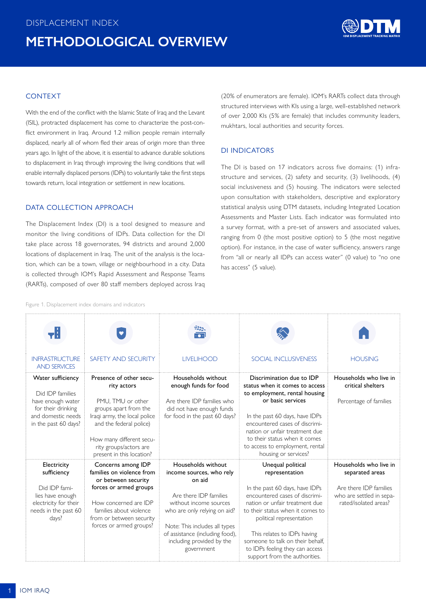

## <span id="page-0-0"></span>**CONTEXT**

With the end of the conflict with the Islamic State of Iraq and the Levant (ISIL), protracted displacement has come to characterize the post-conflict environment in Iraq. Around 1.2 million people remain internally displaced, nearly all of whom fled their areas of origin more than three years ago. In light of the above, it is essential to advance durable solutions to displacement in Iraq through improving the living conditions that will enable internally displaced persons (IDPs) to voluntarily take the first steps towards return, local integration or settlement in new locations.

# DATA COLLECTION APPROACH

The Displacement Index (DI) is a tool designed to measure and monitor the living conditions of IDPs. Data collection for the DI take place across 18 governorates, 94 districts and around 2,000 locations of displacement in Iraq. The unit of the analysis is the location, which can be a town, village or neighbourhood in a city. Data is collected through IOM's Rapid Assessment and Response Teams (RARTs), composed of over 80 staff members deployed across Iraq

(20% of enumerators are female). IOM's RARTs collect data through structured interviews with KIs using a large, well-established network of over 2,000 KIs (5% are female) that includes community leaders, mukhtars, local authorities and security forces.

## DI INDICATORS

The DI is based on 17 indicators across five domains: (1) infrastructure and services, (2) safety and security, (3) livelihoods, (4) social inclusiveness and (5) housing. The indicators were selected upon consultation with stakeholders, descriptive and exploratory statistical analysis using DTM datasets, including Integrated Location Assessments and Master Lists. Each indicator was formulated into a survey format, with a pre-set of answers and associated values, ranging from 0 (the most positive option) to 5 (the most negative option). For instance, in the case of water sufficiency, answers range from "all or nearly all IDPs can access water" (0 value) to "no one has access" (5 value).

Figure 1. Displacement index domains and indicators

|                                                                                                                                |                                                                                                                                                                                                                                    | ैं%.<br>इत्य                                                                                                                                                                                                                                                |                                                                                                                                                                                                                                                                                                                                                  |                                                                                                                          |
|--------------------------------------------------------------------------------------------------------------------------------|------------------------------------------------------------------------------------------------------------------------------------------------------------------------------------------------------------------------------------|-------------------------------------------------------------------------------------------------------------------------------------------------------------------------------------------------------------------------------------------------------------|--------------------------------------------------------------------------------------------------------------------------------------------------------------------------------------------------------------------------------------------------------------------------------------------------------------------------------------------------|--------------------------------------------------------------------------------------------------------------------------|
| <b>INFRASTRUCTURE</b><br><b>AND SERVICES</b>                                                                                   | SAFETY AND SECURITY                                                                                                                                                                                                                | <b>LIVELIHOOD</b>                                                                                                                                                                                                                                           | <b>SOCIAL INCLUSIVENESS</b>                                                                                                                                                                                                                                                                                                                      | <b>HOUSING</b>                                                                                                           |
| Water sufficiency<br>Did IDP families<br>have enough water<br>for their drinking<br>and domestic needs<br>in the past 60 days? | Presence of other secu-<br>rity actors<br>PMU. TMU or other<br>groups apart from the<br>Iraqi army, the local police<br>and the federal police)<br>How many different secu-<br>rity groups/actors are<br>present in this location? | Households without<br>enough funds for food<br>Are there IDP families who<br>did not have enough funds<br>for food in the past 60 days?                                                                                                                     | Discrimination due to IDP<br>status when it comes to access<br>to employment, rental housing<br>or basic services<br>In the past 60 days, have IDPs<br>encountered cases of discrimi-<br>nation or unfair treatment due<br>to their status when it comes<br>to access to employment, rental<br>housing or services?                              | Households who live in<br>critical shelters<br>Percentage of families                                                    |
| Electricity<br>sufficiency<br>Did IDP fami-<br>lies have enough<br>electricity for their<br>needs in the past 60<br>days?      | Concerns among IDP<br>families on violence from<br>or between security<br>forces or armed groups<br>How concerned are IDP<br>families about violence<br>from or between security<br>forces or armed groups?                        | Households without<br>income sources, who rely<br>on aid<br>Are there IDP families<br>without income sources<br>who are only relying on aid?<br>Note: This includes all types<br>of assistance (including food),<br>including provided by the<br>government | Unequal political<br>representation<br>In the past 60 days, have IDPs<br>encountered cases of discrimi-<br>nation or unfair treatment due<br>to their status when it comes to<br>political representation<br>This relates to IDPs having<br>someone to talk on their behalf.<br>to IDPs feeling they can access<br>support from the authorities. | Households who live in<br>separated areas<br>Are there IDP families<br>who are settled in sepa-<br>rated/isolated areas? |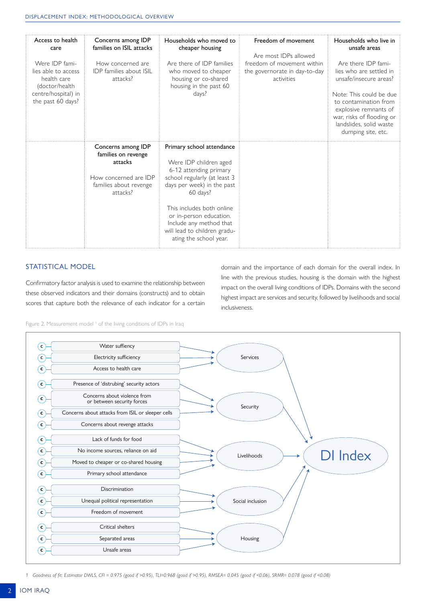| Access to health<br>care<br>Were IDP fami-<br>lies able to access<br>health care<br>(doctor/health<br>centre/hospital) in<br>the past 60 days? | Concerns among IDP<br>families on ISIL attacks<br>How concerned are<br><b>IDP</b> families about ISIL<br>attacks?   | Households who moved to<br>cheaper housing<br>Are there of IDP families<br>who moved to cheaper<br>housing or co-shared<br>housing in the past 60<br>days?                                                                                                                                           | Freedom of movement<br>Are most IDPs allowed<br>freedom of movement within<br>the governorate in day-to-day<br>activities | Households who live in<br>unsafe areas<br>Are there IDP fami-<br>lies who are settled in<br>unsafe/insecure areas?<br>Note: This could be due<br>to contamination from<br>explosive remnants of<br>war, risks of flooding or<br>landslides, solid waste<br>dumping site, etc. |
|------------------------------------------------------------------------------------------------------------------------------------------------|---------------------------------------------------------------------------------------------------------------------|------------------------------------------------------------------------------------------------------------------------------------------------------------------------------------------------------------------------------------------------------------------------------------------------------|---------------------------------------------------------------------------------------------------------------------------|-------------------------------------------------------------------------------------------------------------------------------------------------------------------------------------------------------------------------------------------------------------------------------|
|                                                                                                                                                | Concerns among IDP<br>families on revenge<br>attacks<br>How concerned are IDP<br>families about revenge<br>attacks? | Primary school attendance<br>Were IDP children aged<br>6-12 attending primary<br>school regularly (at least 3<br>days per week) in the past<br>60 days?<br>This includes both online<br>or in-person education.<br>Include any method that<br>will lead to children gradu-<br>ating the school year. |                                                                                                                           |                                                                                                                                                                                                                                                                               |

# STATISTICAL MODEL

Confirmatory factor analysis is used to examine the relationship between these observed indicators and their domains (constructs) and to obtain scores that capture both the relevance of each indicator for a certain

domain and the importance of each domain for the overall index. In line with the previous studies, housing is the domain with the highest impact on the overall living conditions of IDPs. Domains with the second highest impact are services and security, followed by livelihoods and social inclusiveness.

Figure 2. Measurement model<sup>1</sup> of the living conditions of IDPs in Iraq



*1 Goodness of fit: Estimator DWLS, CFI = 0.975 (good if >0.95), TLI=0.968 (good if >0.95), RMSEA= 0.045 (good if <0.06), SRMR= 0.078 (good if <0.08)*